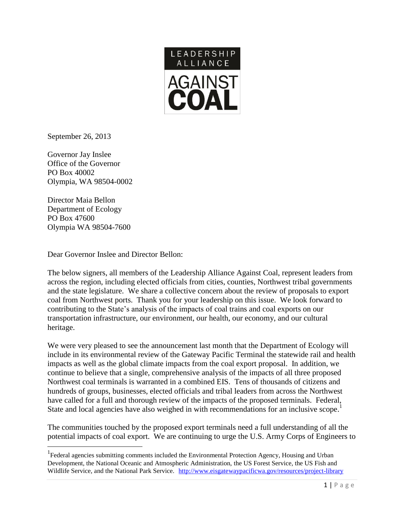

September 26, 2013

Governor Jay Inslee Office of the Governor PO Box 40002 Olympia, WA 98504-0002

Director Maia Bellon Department of Ecology PO Box 47600 Olympia WA 98504-7600

 $\overline{a}$ 

Dear Governor Inslee and Director Bellon:

The below signers, all members of the Leadership Alliance Against Coal, represent leaders from across the region, including elected officials from cities, counties, Northwest tribal governments and the state legislature. We share a collective concern about the review of proposals to export coal from Northwest ports. Thank you for your leadership on this issue. We look forward to contributing to the State's analysis of the impacts of coal trains and coal exports on our transportation infrastructure, our environment, our health, our economy, and our cultural heritage.

We were very pleased to see the announcement last month that the Department of Ecology will include in its environmental review of the Gateway Pacific Terminal the statewide rail and health impacts as well as the global climate impacts from the coal export proposal. In addition, we continue to believe that a single, comprehensive analysis of the impacts of all three proposed Northwest coal terminals is warranted in a combined EIS. Tens of thousands of citizens and hundreds of groups, businesses, elected officials and tribal leaders from across the Northwest have called for a full and thorough review of the impacts of the proposed terminals. Federal, State and local agencies have also weighed in with recommendations for an inclusive scope.<sup>1</sup>

The communities touched by the proposed export terminals need a full understanding of all the potential impacts of coal export. We are continuing to urge the U.S. Army Corps of Engineers to

<sup>&</sup>lt;sup>1</sup> Federal agencies submitting comments included the Environmental Protection Agency, Housing and Urban Development, the National Oceanic and Atmospheric Administration, the US Forest Service, the US Fish and Wildlife Service, and the National Park Service. <http://www.eisgatewaypacificwa.gov/resources/project-library>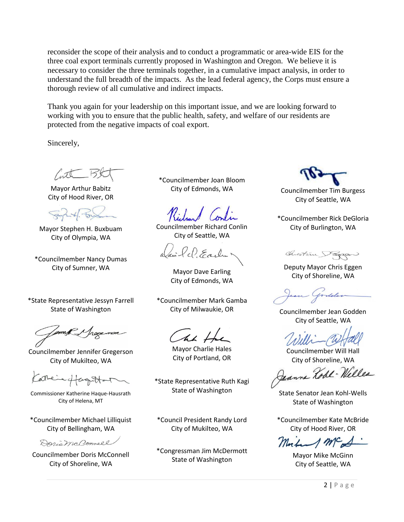reconsider the scope of their analysis and to conduct a programmatic or area-wide EIS for the three coal export terminals currently proposed in Washington and Oregon. We believe it is necessary to consider the three terminals together, in a cumulative impact analysis, in order to understand the full breadth of the impacts. As the lead federal agency, the Corps must ensure a thorough review of all cumulative and indirect impacts.

Thank you again for your leadership on this important issue, and we are looking forward to working with you to ensure that the public health, safety, and welfare of our residents are protected from the negative impacts of coal export.

Sincerely,

Inth

Mayor Arthur Babitz City of Hood River, OR

Mayor Stephen H. Buxbuam City of Olympia, WA

\*Councilmember Nancy Dumas City of Sumner, WA Mayor Dave Earling

\*State Representative Jessyn Farrell State of Washington

Councilmember Jennifer Gregerson City of Mukilteo, WA

Leieffaguttan

Commissioner Katherine Haque-Hausrath City of Helena, MT

\*Councilmember Michael Lilliquist City of Bellingham, WA

Doris McConnell

Councilmember Doris McConnell City of Shoreline, WA

\*Councilmember Joan Bloom

Councilmember Richard Conlin City of Seattle, WA

ci le Frache

City of Edmonds, WA

\*Councilmember Mark Gamba

The H

Mayor Charlie Hales City of Portland, OR

\*State Representative Ruth Kagi State of Washington State Senator Jean Kohl-Wells

\*Council President Randy Lord City of Mukilteo, WA

\*Congressman Jim McDermott State of Washington Mayor Mike McGinn<br>
State of Washington

City of Edmonds, WA Councilmember Tim Burgess City of Seattle, WA

\*Councilmember Rick DeGloria City of Burlington, WA

Chistian Pagan

Deputy Mayor Chris Eggen City of Shoreline, WA

City of Milwaukie, OR Councilmember Jean Godden City of Seattle, WA

Councilmember Will Hall City of Shoreline, WA

Jeanne Robe - Welles

State of Washington

\*Councilmember Kate McBride City of Hood River, OR

 $\Lambda$  mc

City of Seattle, WA